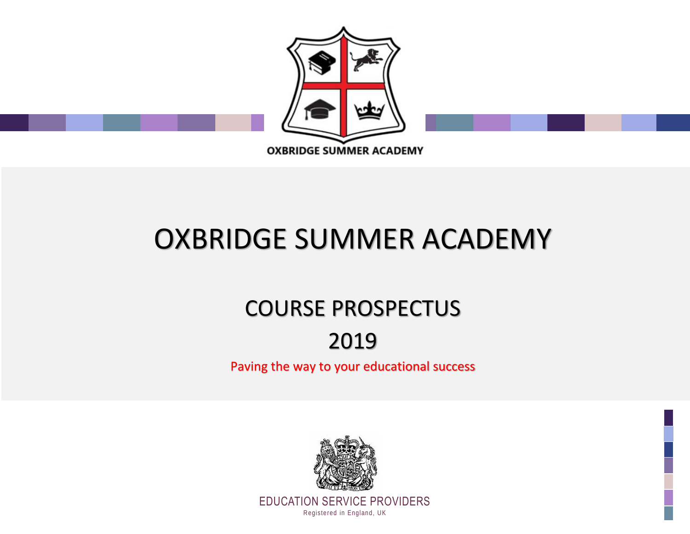

# OXBRIDGE SUMMER ACADEMY

## COURSE PROSPECTUS

## 2019

Paving the way to your educational success

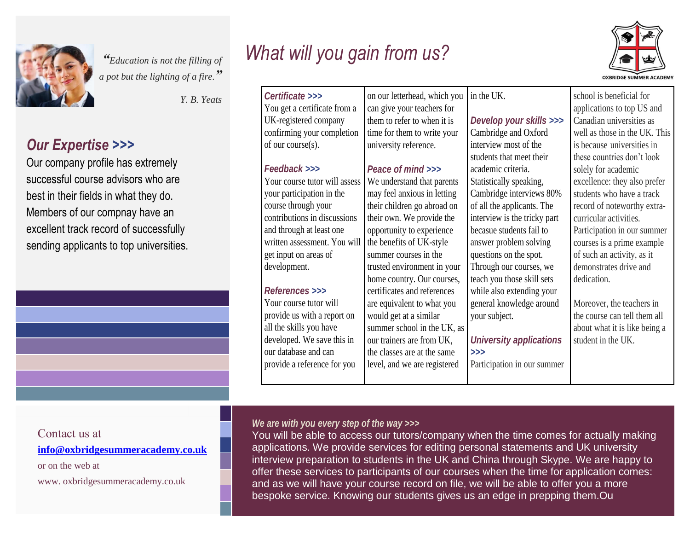

*"Education is not the filling of <sup>a</sup> pot but the lighting of a fire." a fire.*

*Y. B. Yeats Certificate >>>*

#### *Our Expertise >>> Our Expertise >>>*

Our company profile has extremely  $\sim$  successful course advisors who are  $\sim$ best in their fields in what they do. Members of our compnay have an excellent track record of successfully sending applicants to top universities. Our company profile has extremely successful course advisors who are best in their fields in what they do. Members of our compnay have an excellent track record of successfully sending applicants to top universities.

## *What will you gain from us?*



| Certificate >>>                | on our letterhead, which you | in the UK.                     | school is beneficial for      |
|--------------------------------|------------------------------|--------------------------------|-------------------------------|
| You get a certificate from a   | can give your teachers for   |                                | applications to top US and    |
| UK-registered company          | them to refer to when it is  | Develop your skills >>>        | Canadian universities as      |
| confirming your completion     | time for them to write your  | Cambridge and Oxford           | well as those in the UK. This |
| of our course(s).              | university reference.        | interview most of the          | is because universities in    |
|                                |                              | students that meet their       | these countries don't look    |
| Feedback >>>                   | Peace of mind >>>            | academic criteria.             | solely for academic           |
| Your course tutor will assess  | We understand that parents   | Statistically speaking,        | excellence: they also prefer  |
| your participation in the      | may feel anxious in letting  | Cambridge interviews 80%       | students who have a track     |
| course through your            | their children go abroad on  | of all the applicants. The     | record of noteworthy extra-   |
| contributions in discussions   | their own. We provide the    | interview is the tricky part   | curricular activities.        |
| and through at least one       | opportunity to experience    | becasue students fail to       | Participation in our summer   |
| written assessment. You will   | the benefits of UK-style     | answer problem solving         | courses is a prime example    |
| get input on areas of          | summer courses in the        | questions on the spot.         | of such an activity, as it    |
| development.                   | trusted environment in your  | Through our courses, we        | demonstrates drive and        |
|                                | home country. Our courses,   | teach you those skill sets     | dedication.                   |
| <b>References &gt;&gt;&gt;</b> | certificates and references  | while also extending your      |                               |
| Your course tutor will         | are equivalent to what you   | general knowledge around       | Moreover, the teachers in     |
| provide us with a report on    | would get at a similar       | your subject.                  | the course can tell them all  |
| all the skills you have        | summer school in the UK, as  |                                | about what it is like being a |
| developed. We save this in     | our trainers are from UK,    | <b>University applications</b> | student in the UK.            |
| our database and can           | the classes are at the same  | >>                             |                               |
| provide a reference for you    | level, and we are registered | Participation in our summer    |                               |
|                                |                              |                                |                               |

#### Contact us at

**[info@oxbridgesummeracademy.co.uk](mailto:info@oxbridgesummeracademy.co.uk)**

or on the web at

www. oxbridgesummeracademy.co.uk

#### *We are with you every step of the way >>>*

You will be able to access our tutors/company when the time comes for actually making applications. We provide services for editing personal statements and UK university interview preparation to students in the UK and China through Skype. We are happy to offer these services to participants of our courses when the time for application comes: and as we will have your course record on file, we will be able to offer you a more bespoke service. Knowing our students gives us an edge in prepping them.Ou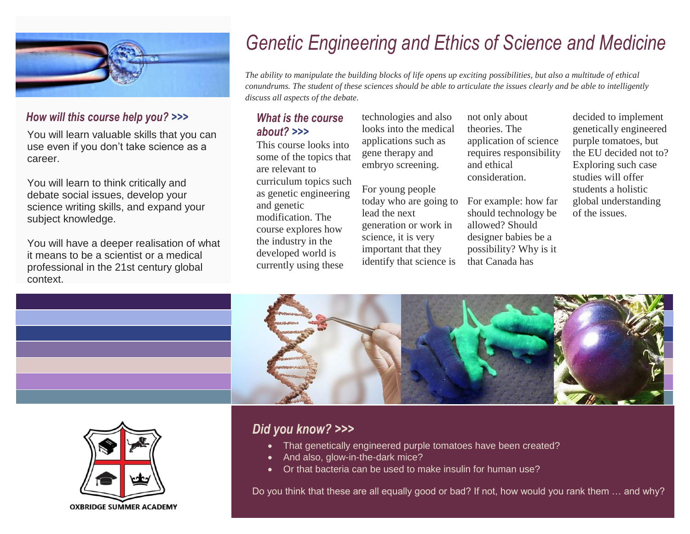

### *How will this course help you? >>>*

You will learn valuable skills that you can use even if you don't take science as a career.

You will learn to think critically and debate social issues, develop your science writing skills, and expand your subject knowledge.

You will have a deeper realisation of what it means to be a scientist or a medical professional in the 21st century global context.

## *Genetic Engineering and Ethics of Science and Medicine*

*The ability to manipulate the building blocks of life opens up exciting possibilities, but also a multitude of ethical conundrums. The student of these sciences should be able to articulate the issues clearly and be able to intelligently discuss all aspects of the debate.*

### *What is the course about? >>>*

This course looks into some of the topics that are relevant to curriculum topics such as genetic engineering and genetic modification. The course explores how the industry in the developed world is currently using these

technologies and also looks into the medical applications such as gene therapy and embryo screening.

For young people today who are going to lead the next generation or work in science, it is very important that they identify that science is

not only about theories. The application of science requires responsibility and ethical consideration.

For example: how far should technology be allowed? Should designer babies be a possibility? Why is it that Canada has

decided to implement genetically engineered purple tomatoes, but the EU decided not to? Exploring such case studies will offer students a holistic global understanding of the issues.





### *Did you know? >>>*

- That genetically engineered purple tomatoes have been created?
- And also, glow-in-the-dark mice?
- Or that bacteria can be used to make insulin for human use?

Do you think that these are all equally good or bad? If not, how would you rank them … and why?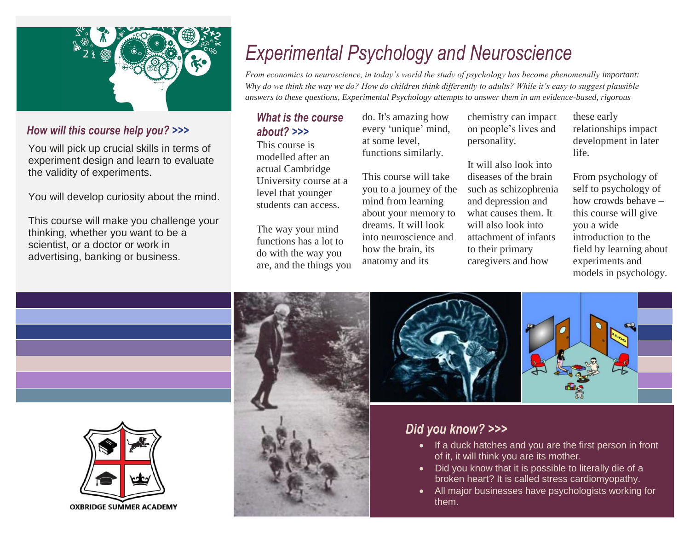

### *How will this course help you? >>>*

You will pick up crucial skills in terms of experiment design and learn to evaluate the validity of experiments.

You will develop curiosity about the mind.

This course will make you challenge your thinking, whether you want to be a scientist, or a doctor or work in advertising, banking or business.

## *Experimental Psychology and Neuroscience*

*From economics to neuroscience, in today's world the study of psychology has become phenomenally important: Why do we think the way we do? How do children think differently to adults? While it's easy to suggest plausible answers to these questions, Experimental Psychology attempts to answer them in am evidence-based, rigorous* 

#### *What is the course about? >>> manner.*

This course is modelled after an actual Cambridge University course at a level that younger students can access.

The way your mind functions has a lot to do with the way you are, and the things you do. It's amazing how every 'unique' mind, at some level, functions similarly.

This course will take you to a journey of the mind from learning about your memory to dreams. It will look into neuroscience and how the brain, its anatomy and its

chemistry can impact on people's lives and personality.

It will also look into diseases of the brain such as schizophrenia and depression and what causes them. It will also look into attachment of infants to their primary caregivers and how

these early relationships impact development in later life.

From psychology of self to psychology of how crowds behave – this course will give you a wide introduction to the field by learning about experiments and models in psychology.





## *Did you know? >>>*

- If a duck hatches and you are the first person in front of it, it will think you are its mother.
- Did you know that it is possible to literally die of a broken heart? It is called stress cardiomyopathy.
- All major businesses have psychologists working for them.

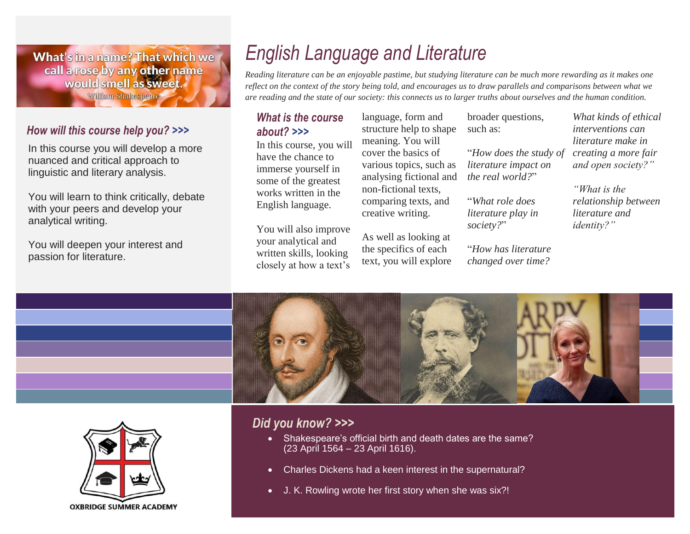What's in a name? That which we call a rose by any other name would smell as sweet. William Shakespeare

### *How will this course help you? >>>*

In this course you will develop a more nuanced and critical approach to linguistic and literary analysis.

You will learn to think critically, debate with your peers and develop your analytical writing.

You will deepen your interest and passion for literature.

## *English Language and Literature*

*Reading literature can be an enjoyable pastime, but studying literature can be much more rewarding as it makes one reflect on the context of the story being told, and encourages us to draw parallels and comparisons between what we are reading and the state of our society: this connects us to larger truths about ourselves and the human condition.*

#### *What is the course about? >>>*

In this course, you will have the chance to immerse yourself in some of the greatest works written in the English language.

You will also improve your analytical and written skills, looking closely at how a text's

language, form and structure help to shape meaning. You will cover the basics of various topics, such as analysing fictional and non-fictional texts, comparing texts, and creative writing.

As well as looking at the specifics of each text, you will explore broader questions, such as:

"*How does the study of literature impact on the real world?*"

"*What role does literature play in society?*"

"*How has literature changed over time?*

*What kinds of ethical interventions can literature make in creating a more fair and open society?"*

*"What is the relationship between literature and identity?"*



### *Did you know? >>>*

- Shakespeare's official birth and death dates are the same? (23 April 1564 – 23 April 1616).
- Charles Dickens had a keen interest in the supernatural?
- J. K. Rowling wrote her first story when she was six?!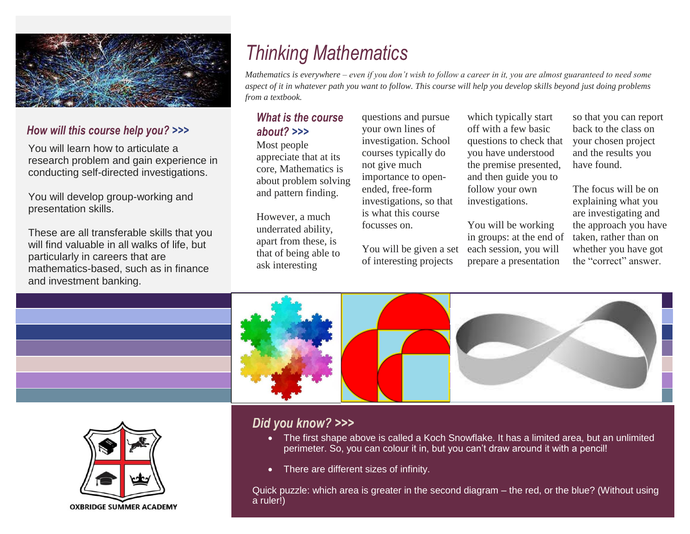

### *How will this course help you? >>>*

You will learn how to articulate a research problem and gain experience in conducting self-directed investigations.

You will develop group-working and presentation skills.

These are all transferable skills that you will find valuable in all walks of life, but particularly in careers that are mathematics-based, such as in finance and investment banking.

## *Thinking Mathematics*

*Mathematics is everywhere – even if you don't wish to follow a career in it, you are almost guaranteed to need some aspect of it in whatever path you want to follow. This course will help you develop skills beyond just doing problems from a textbook.*

### *What is the course about? >>>*

Most people appreciate that at its core, Mathematics is about problem solving and pattern finding.

However, a much underrated ability, apart from these, is that of being able to ask interesting

questions and pursue your own lines of investigation. School courses typically do not give much importance to openended, free-form investigations, so that is what this course focusses on.

You will be given a set of interesting projects

which typically start off with a few basic questions to check that you have understood the premise presented, and then guide you to follow your own investigations.

You will be working in groups: at the end of each session, you will prepare a presentation

so that you can report back to the class on your chosen project and the results you have found.

The focus will be on explaining what you are investigating and the approach you have taken, rather than on whether you have got the "correct" answer.





## *Did you know? >>>*

- The first shape above is called a Koch Snowflake. It has a limited area, but an unlimited perimeter. So, you can colour it in, but you can't draw around it with a pencil!
- There are different sizes of infinity.

Quick puzzle: which area is greater in the second diagram – the red, or the blue? (Without using a ruler!)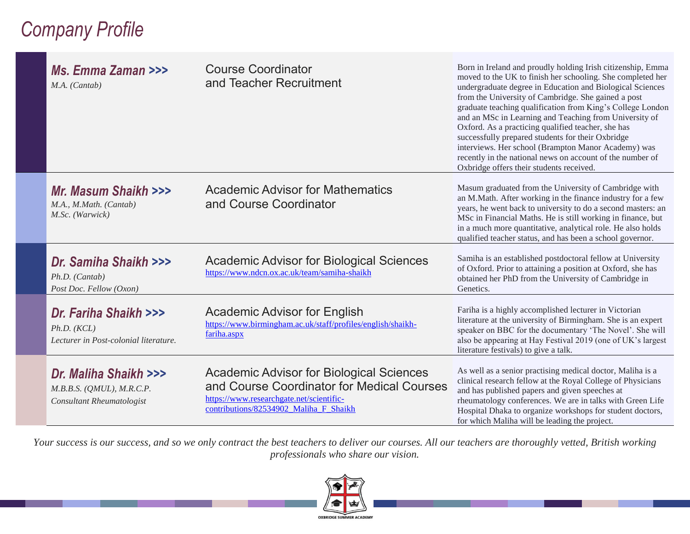## *Company Profile*

| Ms. Emma Zaman >>><br>M.A. (Cantab)                                                 | <b>Course Coordinator</b><br>and Teacher Recruitment                                                                                                                                | Born in Ireland and proudly holding Irish citizenship, Emma<br>moved to the UK to finish her schooling. She completed her<br>undergraduate degree in Education and Biological Sciences<br>from the University of Cambridge. She gained a post<br>graduate teaching qualification from King's College London<br>and an MSc in Learning and Teaching from University of<br>Oxford. As a practicing qualified teacher, she has<br>successfully prepared students for their Oxbridge<br>interviews. Her school (Brampton Manor Academy) was<br>recently in the national news on account of the number of<br>Oxbridge offers their students received. |
|-------------------------------------------------------------------------------------|-------------------------------------------------------------------------------------------------------------------------------------------------------------------------------------|--------------------------------------------------------------------------------------------------------------------------------------------------------------------------------------------------------------------------------------------------------------------------------------------------------------------------------------------------------------------------------------------------------------------------------------------------------------------------------------------------------------------------------------------------------------------------------------------------------------------------------------------------|
| Mr. Masum Shaikh >>><br>M.A., M.Math. (Cantab)<br>M.Sc. (Warwick)                   | <b>Academic Advisor for Mathematics</b><br>and Course Coordinator                                                                                                                   | Masum graduated from the University of Cambridge with<br>an M.Math. After working in the finance industry for a few<br>years, he went back to university to do a second masters: an<br>MSc in Financial Maths. He is still working in finance, but<br>in a much more quantitative, analytical role. He also holds<br>qualified teacher status, and has been a school governor.                                                                                                                                                                                                                                                                   |
| Dr. Samiha Shaikh >>><br>Ph.D. (Cantab)<br>Post Doc. Fellow (Oxon)                  | Academic Advisor for Biological Sciences<br>https://www.ndcn.ox.ac.uk/team/samiha-shaikh                                                                                            | Samiha is an established postdoctoral fellow at University<br>of Oxford. Prior to attaining a position at Oxford, she has<br>obtained her PhD from the University of Cambridge in<br>Genetics.                                                                                                                                                                                                                                                                                                                                                                                                                                                   |
| Dr. Fariha Shaikh >>><br>Ph.D. (KCL)<br>Lecturer in Post-colonial literature.       | <b>Academic Advisor for English</b><br>https://www.birmingham.ac.uk/staff/profiles/english/shaikh-<br>fariha.aspx                                                                   | Fariha is a highly accomplished lecturer in Victorian<br>literature at the university of Birmingham. She is an expert<br>speaker on BBC for the documentary 'The Novel'. She will<br>also be appearing at Hay Festival 2019 (one of UK's largest<br>literature festivals) to give a talk.                                                                                                                                                                                                                                                                                                                                                        |
| Dr. Maliha Shaikh >>><br>$M.B.B.S.$ (QMUL), $M.R.C.P.$<br>Consultant Rheumatologist | <b>Academic Advisor for Biological Sciences</b><br>and Course Coordinator for Medical Courses<br>https://www.researchgate.net/scientific-<br>contributions/82534902 Maliha F Shaikh | As well as a senior practising medical doctor, Maliha is a<br>clinical research fellow at the Royal College of Physicians<br>and has published papers and given speeches at<br>rheumatology conferences. We are in talks with Green Life<br>Hospital Dhaka to organize workshops for student doctors,<br>for which Maliha will be leading the project.                                                                                                                                                                                                                                                                                           |

*Your success is our success, and so we only contract the best teachers to deliver our courses. All our teachers are thoroughly vetted, British working professionals who share our vision.*